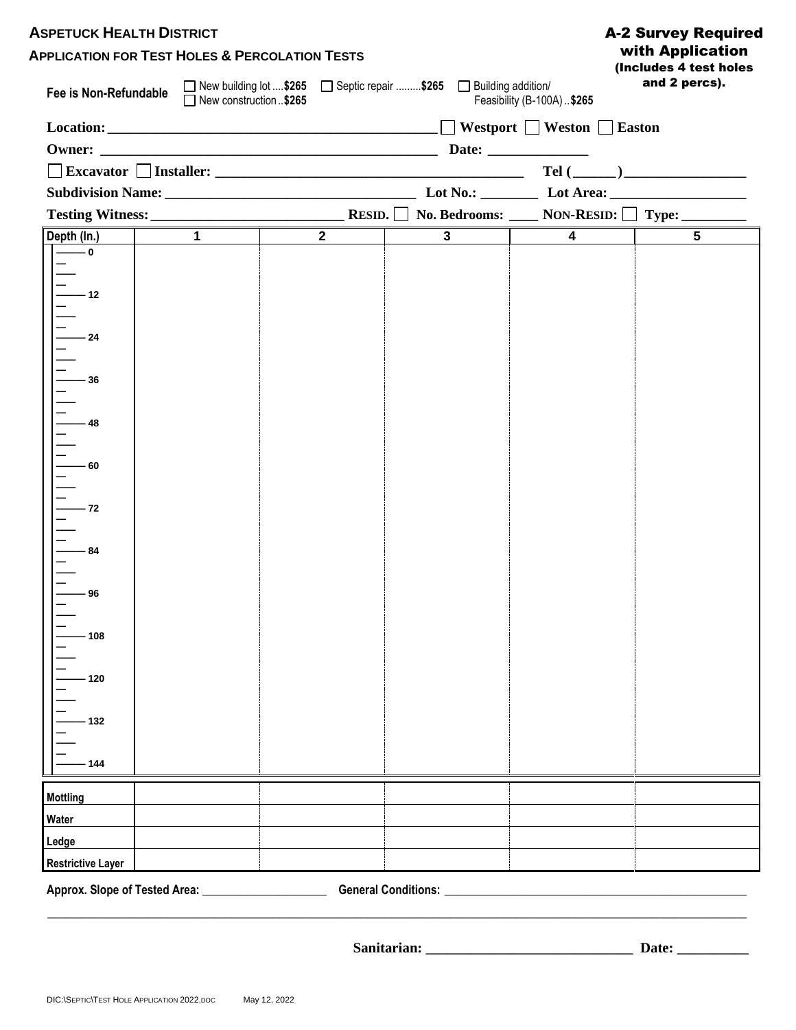| <b>ASPETUCK HEALTH DISTRICT</b><br><b>APPLICATION FOR TEST HOLES &amp; PERCOLATION TESTS</b><br>□ New building lot \$265 □ Septic repair \$265 □ Building addition/<br>Fee is Non-Refundable<br>□ New construction \$265<br>Feasibility (B-100A)\$265 |                |                |                                      |                | <b>A-2 Survey Required</b><br>with Application<br>(Includes 4 test holes<br>and 2 percs). |  |
|-------------------------------------------------------------------------------------------------------------------------------------------------------------------------------------------------------------------------------------------------------|----------------|----------------|--------------------------------------|----------------|-------------------------------------------------------------------------------------------|--|
|                                                                                                                                                                                                                                                       |                |                |                                      |                |                                                                                           |  |
|                                                                                                                                                                                                                                                       |                |                |                                      |                |                                                                                           |  |
|                                                                                                                                                                                                                                                       |                |                |                                      |                |                                                                                           |  |
|                                                                                                                                                                                                                                                       |                |                |                                      |                |                                                                                           |  |
| Depth (In.)                                                                                                                                                                                                                                           | $\overline{1}$ | $\overline{2}$ | $\overline{\phantom{a}3\phantom{a}}$ | $\overline{4}$ | $\overline{5}$                                                                            |  |
| $-$ 0                                                                                                                                                                                                                                                 |                |                |                                      |                |                                                                                           |  |
|                                                                                                                                                                                                                                                       |                |                |                                      |                |                                                                                           |  |
| $-12$                                                                                                                                                                                                                                                 |                |                |                                      |                |                                                                                           |  |
|                                                                                                                                                                                                                                                       |                |                |                                      |                |                                                                                           |  |
|                                                                                                                                                                                                                                                       |                |                |                                      |                |                                                                                           |  |
| - 24                                                                                                                                                                                                                                                  |                |                |                                      |                |                                                                                           |  |
|                                                                                                                                                                                                                                                       |                |                |                                      |                |                                                                                           |  |
| - 36                                                                                                                                                                                                                                                  |                |                |                                      |                |                                                                                           |  |
|                                                                                                                                                                                                                                                       |                |                |                                      |                |                                                                                           |  |
| - 48                                                                                                                                                                                                                                                  |                |                |                                      |                |                                                                                           |  |
|                                                                                                                                                                                                                                                       |                |                |                                      |                |                                                                                           |  |
|                                                                                                                                                                                                                                                       |                |                |                                      |                |                                                                                           |  |
| - 60                                                                                                                                                                                                                                                  |                |                |                                      |                |                                                                                           |  |
|                                                                                                                                                                                                                                                       |                |                |                                      |                |                                                                                           |  |
| - 72                                                                                                                                                                                                                                                  |                |                |                                      |                |                                                                                           |  |
|                                                                                                                                                                                                                                                       |                |                |                                      |                |                                                                                           |  |
| - 84                                                                                                                                                                                                                                                  |                |                |                                      |                |                                                                                           |  |
|                                                                                                                                                                                                                                                       |                |                |                                      |                |                                                                                           |  |
|                                                                                                                                                                                                                                                       |                |                |                                      |                |                                                                                           |  |
| . 96                                                                                                                                                                                                                                                  |                |                |                                      |                |                                                                                           |  |
|                                                                                                                                                                                                                                                       |                |                |                                      |                |                                                                                           |  |
| 108                                                                                                                                                                                                                                                   |                |                |                                      |                |                                                                                           |  |
|                                                                                                                                                                                                                                                       |                |                |                                      |                |                                                                                           |  |
|                                                                                                                                                                                                                                                       |                |                |                                      |                |                                                                                           |  |
| 120                                                                                                                                                                                                                                                   |                |                |                                      |                |                                                                                           |  |
|                                                                                                                                                                                                                                                       |                |                |                                      |                |                                                                                           |  |
| - 132                                                                                                                                                                                                                                                 |                |                |                                      |                |                                                                                           |  |
|                                                                                                                                                                                                                                                       |                |                |                                      |                |                                                                                           |  |
| 144                                                                                                                                                                                                                                                   |                |                |                                      |                |                                                                                           |  |
|                                                                                                                                                                                                                                                       |                |                |                                      |                |                                                                                           |  |
| <b>Mottling</b>                                                                                                                                                                                                                                       |                |                |                                      |                |                                                                                           |  |
| Water                                                                                                                                                                                                                                                 |                |                |                                      |                |                                                                                           |  |
| Ledge                                                                                                                                                                                                                                                 |                |                |                                      |                |                                                                                           |  |
| <b>Restrictive Layer</b>                                                                                                                                                                                                                              |                |                |                                      |                |                                                                                           |  |
| Approx. Slope of Tested Area: ________________________                                                                                                                                                                                                |                |                | General Conditions: ____________     |                |                                                                                           |  |

**Sanitarian: \_\_\_\_\_\_\_\_\_\_\_\_\_\_\_\_\_\_\_\_\_\_\_\_\_\_\_\_\_ Date: \_\_\_\_\_\_\_\_\_\_**

**\_\_\_\_\_\_\_\_\_\_\_\_\_\_\_\_\_\_\_\_\_\_\_\_\_\_\_\_\_\_\_\_\_\_\_\_\_\_\_\_\_\_\_\_\_\_\_\_\_\_\_\_\_\_\_\_\_\_\_\_\_\_\_\_\_\_\_\_\_\_\_\_\_\_\_\_\_\_\_\_\_\_\_\_\_\_\_\_\_\_\_\_\_\_\_\_\_\_\_\_\_\_\_\_\_\_\_\_\_\_\_\_\_\_\_\_\_\_**